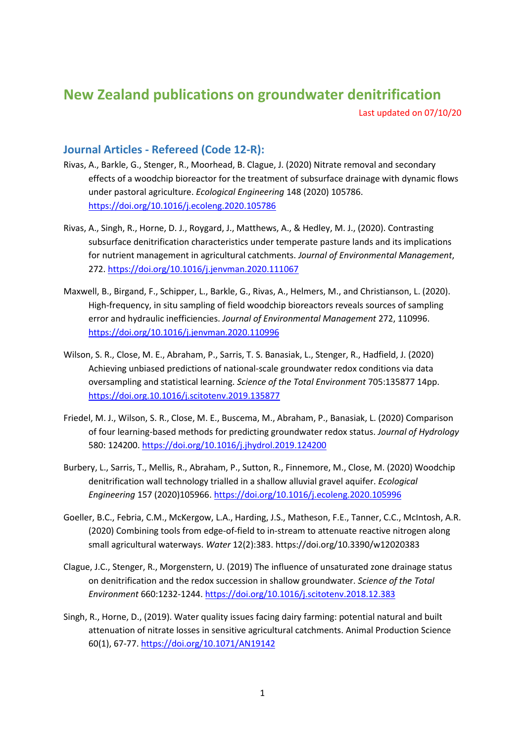## **New Zealand publications on groundwater denitrification**

Last updated on 07/10/20

## **Journal Articles - Refereed (Code 12-R):**

- Rivas, A., Barkle, G., Stenger, R., Moorhead, B. Clague, J. (2020) Nitrate removal and secondary effects of a woodchip bioreactor for the treatment of subsurface drainage with dynamic flows under pastoral agriculture. *Ecological Engineering* 148 (2020) 105786. <https://doi.org/10.1016/j.ecoleng.2020.105786>
- Rivas, A., Singh, R., Horne, D. J., Roygard, J., Matthews, A., & Hedley, M. J., (2020). Contrasting subsurface denitrification characteristics under temperate pasture lands and its implications for nutrient management in agricultural catchments. *Journal of Environmental Management*, 272.<https://doi.org/10.1016/j.jenvman.2020.111067>
- Maxwell, B., Birgand, F., Schipper, L., Barkle, G., Rivas, A., Helmers, M., and Christianson, L. (2020). High-frequency, in situ sampling of field woodchip bioreactors reveals sources of sampling error and hydraulic inefficiencies. *Journal of Environmental Management* 272, 110996. [https://doi.org/10.1016/j.jenvman.2020.110996](https://doi-org.ezproxy.lincoln.ac.nz/10.1016/j.jenvman.2020.110996)
- Wilson, S. R., Close, M. E., Abraham, P., Sarris, T. S. Banasiak, L., Stenger, R., Hadfield, J. (2020) Achieving unbiased predictions of national-scale groundwater redox conditions via data oversampling and statistical learning. *Science of the Total Environment* 705:135877 14pp. <https://doi.org.10.1016/j.scitotenv.2019.135877>
- Friedel, M. J., Wilson, S. R., Close, M. E., Buscema, M., Abraham, P., Banasiak, L. (2020) Comparison of four learning-based methods for predicting groundwater redox status. *Journal of Hydrology* 580: 124200.<https://doi.org/10.1016/j.jhydrol.2019.124200>
- Burbery, L., Sarris, T., Mellis, R., Abraham, P., Sutton, R., Finnemore, M., Close, M. (2020) Woodchip denitrification wall technology trialled in a shallow alluvial gravel aquifer. *Ecological Engineering* 157 (2020)105966[. https://doi.org/10.1016/j.ecoleng.2020.105996](https://doi.org/10.1016/j.ecoleng.2020.105996)
- Goeller, B.C., Febria, C.M., McKergow, L.A., Harding, J.S., Matheson, F.E., Tanner, C.C., McIntosh, A.R. (2020) Combining tools from edge-of-field to in-stream to attenuate reactive nitrogen along small agricultural waterways. *Water* 12(2):383. https://doi.org/10.3390/w12020383
- Clague, J.C., Stenger, R., Morgenstern, U. (2019) The influence of unsaturated zone drainage status on denitrification and the redox succession in shallow groundwater. *Science of the Total Environment* 660:1232-1244[. https://doi.org/10.1016/j.scitotenv.2018.12.383](https://doi.org/10.1016/j.scitotenv.2018.12.383)
- Singh, R., Horne, D., (2019). Water quality issues facing dairy farming: potential natural and built attenuation of nitrate losses in sensitive agricultural catchments. Animal Production Science 60(1), 67-77.<https://doi.org/10.1071/AN19142>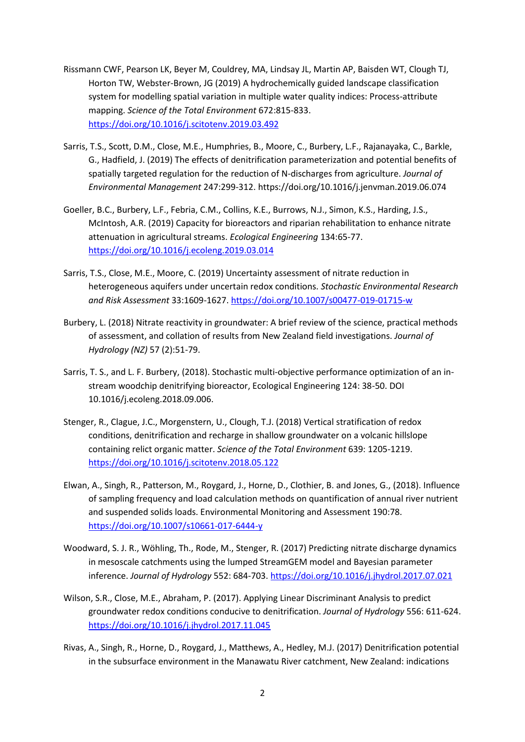- Rissmann CWF, Pearson LK, Beyer M, Couldrey, MA, Lindsay JL, Martin AP, Baisden WT, Clough TJ, Horton TW, Webster-Brown, JG (2019) A hydrochemically guided landscape classification system for modelling spatial variation in multiple water quality indices: Process-attribute mapping. *Science of the Total Environment* 672:815-833. <https://doi.org/10.1016/j.scitotenv.2019.03.492>
- Sarris, T.S., Scott, D.M., Close, M.E., Humphries, B., Moore, C., Burbery, L.F., Rajanayaka, C., Barkle, G., Hadfield, J. (2019) The effects of denitrification parameterization and potential benefits of spatially targeted regulation for the reduction of N-discharges from agriculture. *Journal of Environmental Management* 247:299-312. https://doi.org/10.1016/j.jenvman.2019.06.074
- Goeller, B.C., Burbery, L.F., Febria, C.M., Collins, K.E., Burrows, N.J., Simon, K.S., Harding, J.S., McIntosh, A.R. (2019) Capacity for bioreactors and riparian rehabilitation to enhance nitrate attenuation in agricultural streams. *Ecological Engineering* 134:65-77. <https://doi.org/10.1016/j.ecoleng.2019.03.014>
- Sarris, T.S., Close, M.E., Moore, C. (2019) Uncertainty assessment of nitrate reduction in heterogeneous aquifers under uncertain redox conditions. *Stochastic Environmental Research and Risk Assessment* 33:1609-1627. <https://doi.org/10.1007/s00477-019-01715-w>
- Burbery, L. (2018) Nitrate reactivity in groundwater: A brief review of the science, practical methods of assessment, and collation of results from New Zealand field investigations. *Journal of Hydrology (NZ)* 57 (2):51-79.
- Sarris, T. S., and L. F. Burbery, (2018). Stochastic multi-objective performance optimization of an instream woodchip denitrifying bioreactor, Ecological Engineering 124: 38-50. DOI 10.1016/j.ecoleng.2018.09.006.
- Stenger, R., Clague, J.C., Morgenstern, U., Clough, T.J. (2018) Vertical stratification of redox conditions, denitrification and recharge in shallow groundwater on a volcanic hillslope containing relict organic matter. *Science of the Total Environment* 639: 1205-1219. <https://doi.org/10.1016/j.scitotenv.2018.05.122>
- Elwan, A., Singh, R., Patterson, M., Roygard, J., Horne, D., Clothier, B. and Jones, G., (2018). Influence of sampling frequency and load calculation methods on quantification of annual river nutrient and suspended solids loads. Environmental Monitoring and Assessment 190:78. <https://doi.org/10.1007/s10661-017-6444-y>
- Woodward, S. J. R., Wöhling, Th., Rode, M., Stenger, R. (2017) Predicting nitrate discharge dynamics in mesoscale catchments using the lumped StreamGEM model and Bayesian parameter inference. *Journal of Hydrology* 552: 684-703. <https://doi.org/10.1016/j.jhydrol.2017.07.021>
- Wilson, S.R., Close, M.E., Abraham, P. (2017). Applying Linear Discriminant Analysis to predict groundwater redox conditions conducive to denitrification. *Journal of Hydrology* 556: 611-624. <https://doi.org/10.1016/j.jhydrol.2017.11.045>
- Rivas, A., Singh, R., Horne, D., Roygard, J., Matthews, A., Hedley, M.J. (2017) Denitrification potential in the subsurface environment in the Manawatu River catchment, New Zealand: indications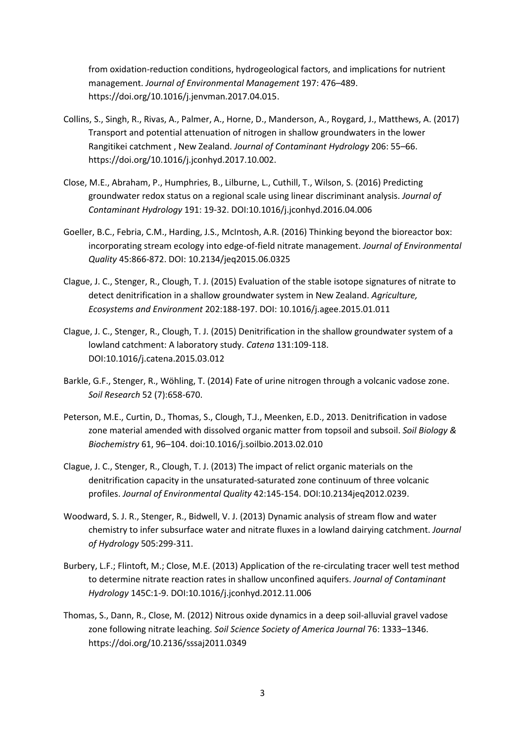from oxidation-reduction conditions, hydrogeological factors, and implications for nutrient management. *Journal of Environmental Management* 197: 476–489. [https://doi.org/10.1016/j.jenvman.2017.04.015.](https://doi.org/10.1016/j.jenvman.2017.04.015)

- Collins, S., Singh, R., Rivas, A., Palmer, A., Horne, D., Manderson, A., Roygard, J., Matthews, A. (2017) Transport and potential attenuation of nitrogen in shallow groundwaters in the lower Rangitikei catchment , New Zealand. *Journal of Contaminant Hydrology* 206: 55–66. https://doi.org/10.1016/j.jconhyd.2017.10.002.
- Close, M.E., Abraham, P., Humphries, B., Lilburne, L., Cuthill, T., Wilson, S. (2016) Predicting groundwater redox status on a regional scale using linear discriminant analysis. *Journal of Contaminant Hydrology* 191: 19-32. [DOI:10.1016/j.jconhyd.2016.04.006](http://dx.doi.org/10.1016/j.jconhyd.2016.04.006)
- Goeller, B.C., Febria, C.M., Harding, J.S., McIntosh, A.R. (2016) Thinking beyond the bioreactor box: incorporating stream ecology into edge-of-field nitrate management. *Journal of Environmental Quality* 45:866-872. DOI: 10.2134/jeq2015.06.0325
- Clague, J. C., Stenger, R., Clough, T. J. (2015) Evaluation of the stable isotope signatures of nitrate to detect denitrification in a shallow groundwater system in New Zealand. *Agriculture, Ecosystems and Environment* 202:188-197. DOI: 10.1016/j.agee.2015.01.011
- Clague, J. C., Stenger, R., Clough, T. J. (2015) Denitrification in the shallow groundwater system of a lowland catchment: A laboratory study. *Catena* 131:109-118. DOI:10.1016/j.catena.2015.03.012
- Barkle, G.F., Stenger, R., Wöhling, T. (2014) Fate of urine nitrogen through a volcanic vadose zone. *Soil Research* 52 (7):658-670.
- Peterson, M.E., Curtin, D., Thomas, S., Clough, T.J., Meenken, E.D., 2013. Denitrification in vadose zone material amended with dissolved organic matter from topsoil and subsoil. *Soil Biology & Biochemistry* 61, 96–104. doi:10.1016/j.soilbio.2013.02.010
- Clague, J. C., Stenger, R., Clough, T. J. (2013) The impact of relict organic materials on the denitrification capacity in the unsaturated-saturated zone continuum of three volcanic profiles. *Journal of Environmental Quality* 42:145-154. DOI:10.2134jeq2012.0239.
- Woodward, S. J. R., Stenger, R., Bidwell, V. J. (2013) Dynamic analysis of stream flow and water chemistry to infer subsurface water and nitrate fluxes in a lowland dairying catchment. *Journal of Hydrology* 505:299-311.
- Burbery, L.F.; Flintoft, M.; Close, M.E. (2013) Application of the re-circulating tracer well test method to determine nitrate reaction rates in shallow unconfined aquifers. *Journal of Contaminant Hydrology* 145C:1-9. DOI:10.1016/j.jconhyd.2012.11.006
- Thomas, S., Dann, R., Close, M. (2012) Nitrous oxide dynamics in a deep soil-alluvial gravel vadose zone following nitrate leaching. *Soil Science Society of America Journal* 76: 1333–1346. <https://doi.org/10.2136/sssaj2011.0349>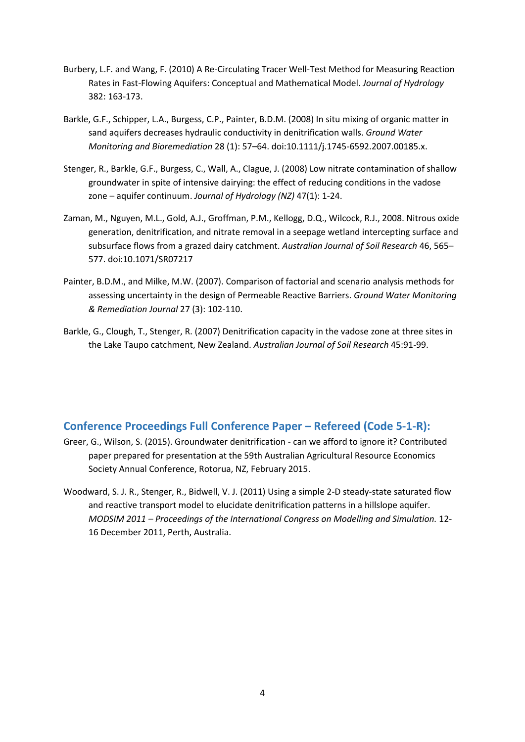- Burbery, L.F. and Wang, F. (2010) A Re-Circulating Tracer Well-Test Method for Measuring Reaction Rates in Fast-Flowing Aquifers: Conceptual and Mathematical Model. *Journal of Hydrology* 382: 163-173.
- Barkle, G.F., Schipper, L.A., Burgess, C.P., Painter, B.D.M. (2008) In situ mixing of organic matter in sand aquifers decreases hydraulic conductivity in denitrification walls. *Ground Water Monitoring and Bioremediation* 28 (1): 57–64. doi:10.1111/j.1745-6592.2007.00185.x.
- Stenger, R., Barkle, G.F., Burgess, C., Wall, A., Clague, J. (2008) Low nitrate contamination of shallow groundwater in spite of intensive dairying: the effect of reducing conditions in the vadose zone – aquifer continuum. *Journal of Hydrology (NZ)* 47(1): 1-24.
- Zaman, M., Nguyen, M.L., Gold, A.J., Groffman, P.M., Kellogg, D.Q., Wilcock, R.J., 2008. Nitrous oxide generation, denitrification, and nitrate removal in a seepage wetland intercepting surface and subsurface flows from a grazed dairy catchment. *Australian Journal of Soil Research* 46, 565– 577. doi:10.1071/SR07217
- Painter, B.D.M., and Milke, M.W. (2007). Comparison of factorial and scenario analysis methods for assessing uncertainty in the design of Permeable Reactive Barriers. *Ground Water Monitoring & Remediation Journal* 27 (3): 102-110.
- Barkle, G., Clough, T., Stenger, R. (2007) Denitrification capacity in the vadose zone at three sites in the Lake Taupo catchment, New Zealand. *Australian Journal of Soil Research* 45:91-99.

## **Conference Proceedings Full Conference Paper – Refereed (Code 5-1-R):**

- Greer, G., Wilson, S. (2015). Groundwater denitrification can we afford to ignore it? Contributed paper prepared for presentation at the 59th Australian Agricultural Resource Economics Society Annual Conference, Rotorua, NZ, February 2015.
- Woodward, S. J. R., Stenger, R., Bidwell, V. J. (2011) Using a simple 2-D steady-state saturated flow and reactive transport model to elucidate denitrification patterns in a hillslope aquifer. *MODSIM 2011 – Proceedings of the International Congress on Modelling and Simulation.* 12- 16 December 2011, Perth, Australia.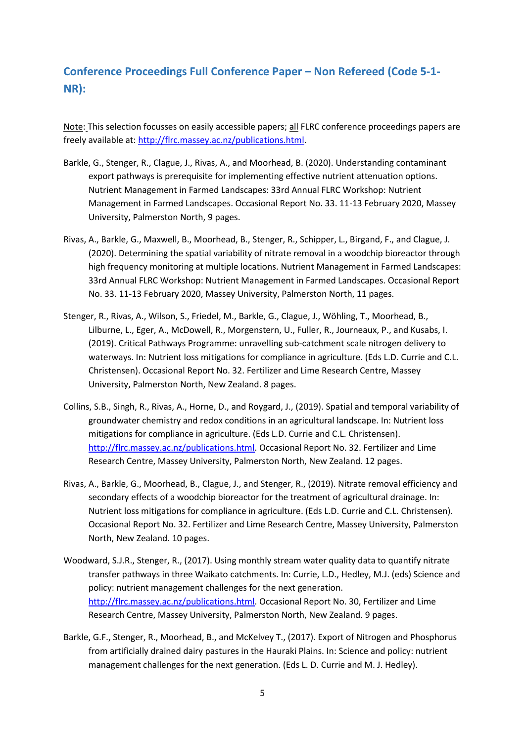## **Conference Proceedings Full Conference Paper – Non Refereed (Code 5-1- NR):**

Note: This selection focusses on easily accessible papers; all FLRC conference proceedings papers are freely available at[: http://flrc.massey.ac.nz/publications.html.](http://flrc.massey.ac.nz/publications.html)

- Barkle, G., Stenger, R., Clague, J., Rivas, A., and Moorhead, B. (2020). Understanding contaminant export pathways is prerequisite for implementing effective nutrient attenuation options. Nutrient Management in Farmed Landscapes: 33rd Annual FLRC Workshop: Nutrient Management in Farmed Landscapes. Occasional Report No. 33. 11-13 February 2020, Massey University, Palmerston North, 9 pages.
- Rivas, A., Barkle, G., Maxwell, B., Moorhead, B., Stenger, R., Schipper, L., Birgand, F., and Clague, J. (2020). Determining the spatial variability of nitrate removal in a woodchip bioreactor through high frequency monitoring at multiple locations. Nutrient Management in Farmed Landscapes: 33rd Annual FLRC Workshop: Nutrient Management in Farmed Landscapes. Occasional Report No. 33. 11-13 February 2020, Massey University, Palmerston North, 11 pages.
- Stenger, R., Rivas, A., Wilson, S., Friedel, M., Barkle, G., Clague, J., Wöhling, T., Moorhead, B., Lilburne, L., Eger, A., McDowell, R., Morgenstern, U., Fuller, R., Journeaux, P., and Kusabs, I. (2019). Critical Pathways Programme: unravelling sub-catchment scale nitrogen delivery to waterways. In: Nutrient loss mitigations for compliance in agriculture. (Eds L.D. Currie and C.L. Christensen). Occasional Report No. 32. Fertilizer and Lime Research Centre, Massey University, Palmerston North, New Zealand. 8 pages.
- Collins, S.B., Singh, R., Rivas, A., Horne, D., and Roygard, J., (2019). Spatial and temporal variability of groundwater chemistry and redox conditions in an agricultural landscape. In: Nutrient loss mitigations for compliance in agriculture. (Eds L.D. Currie and C.L. Christensen). [http://flrc.massey.ac.nz/publications.html.](http://flrc.massey.ac.nz/publications.html) Occasional Report No. 32. Fertilizer and Lime Research Centre, Massey University, Palmerston North, New Zealand. 12 pages.
- Rivas, A., Barkle, G., Moorhead, B., Clague, J., and Stenger, R., (2019). Nitrate removal efficiency and secondary effects of a woodchip bioreactor for the treatment of agricultural drainage. In: Nutrient loss mitigations for compliance in agriculture. (Eds L.D. Currie and C.L. Christensen). Occasional Report No. 32. Fertilizer and Lime Research Centre, Massey University, Palmerston North, New Zealand. 10 pages.
- Woodward, S.J.R., Stenger, R., (2017). Using monthly stream water quality data to quantify nitrate transfer pathways in three Waikato catchments. In: Currie, L.D., Hedley, M.J. (eds) Science and policy: nutrient management challenges for the next generation. [http://flrc.massey.ac.nz/publications.html.](http://flrc.massey.ac.nz/publications.html) Occasional Report No. 30, Fertilizer and Lime Research Centre, Massey University, Palmerston North, New Zealand. 9 pages.
- Barkle, G.F., Stenger, R., Moorhead, B., and McKelvey T., (2017). Export of Nitrogen and Phosphorus from artificially drained dairy pastures in the Hauraki Plains. In: Science and policy: nutrient management challenges for the next generation. (Eds L. D. Currie and M. J. Hedley).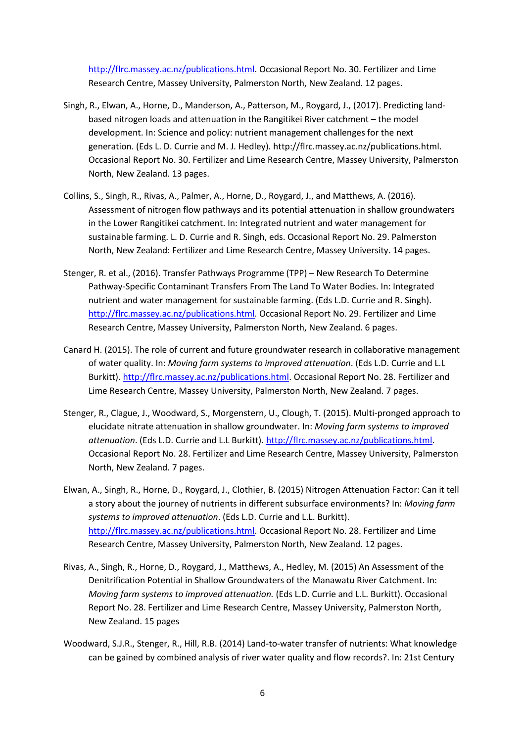[http://flrc.massey.ac.nz/publications.html.](http://flrc.massey.ac.nz/publications.html) Occasional Report No. 30. Fertilizer and Lime Research Centre, Massey University, Palmerston North, New Zealand. 12 pages.

- Singh, R., Elwan, A., Horne, D., Manderson, A., Patterson, M., Roygard, J., (2017). Predicting landbased nitrogen loads and attenuation in the Rangitikei River catchment – the model development. In: Science and policy: nutrient management challenges for the next generation. (Eds L. D. Currie and M. J. Hedley). http://flrc.massey.ac.nz/publications.html. Occasional Report No. 30. Fertilizer and Lime Research Centre, Massey University, Palmerston North, New Zealand. 13 pages.
- Collins, S., Singh, R., Rivas, A., Palmer, A., Horne, D., Roygard, J., and Matthews, A. (2016). Assessment of nitrogen flow pathways and its potential attenuation in shallow groundwaters in the Lower Rangitikei catchment. In: Integrated nutrient and water management for sustainable farming. L. D. Currie and R. Singh, eds. Occasional Report No. 29. Palmerston North, New Zealand: Fertilizer and Lime Research Centre, Massey University. 14 pages.
- Stenger, R. et al., (2016). Transfer Pathways Programme (TPP) New Research To Determine Pathway-Specific Contaminant Transfers From The Land To Water Bodies. In: Integrated nutrient and water management for sustainable farming. (Eds L.D. Currie and R. Singh). [http://flrc.massey.ac.nz/publications.html.](http://flrc.massey.ac.nz/publications.html) Occasional Report No. 29. Fertilizer and Lime Research Centre, Massey University, Palmerston North, New Zealand. 6 pages.
- Canard H. (2015). The role of current and future groundwater research in collaborative management of water quality. In: *Moving farm systems to improved attenuation*. (Eds L.D. Currie and L.L Burkitt). [http://flrc.massey.ac.nz/publications.html.](http://flrc.massey.ac.nz/publications.html) Occasional Report No. 28. Fertilizer and Lime Research Centre, Massey University, Palmerston North, New Zealand. 7 pages.
- Stenger, R., Clague, J., Woodward, S., Morgenstern, U., Clough, T. (2015). Multi-pronged approach to elucidate nitrate attenuation in shallow groundwater. In: *Moving farm systems to improved attenuation*. (Eds L.D. Currie and L.L Burkitt). [http://flrc.massey.ac.nz/publications.html.](http://flrc.massey.ac.nz/publications.html) Occasional Report No. 28. Fertilizer and Lime Research Centre, Massey University, Palmerston North, New Zealand. 7 pages.
- Elwan, A., Singh, R., Horne, D., Roygard, J., Clothier, B. (2015) Nitrogen Attenuation Factor: Can it tell a story about the journey of nutrients in different subsurface environments? In: *Moving farm systems to improved attenuation*. (Eds L.D. Currie and L.L. Burkitt). [http://flrc.massey.ac.nz/publications.html.](http://flrc.massey.ac.nz/publications.html) Occasional Report No. 28. Fertilizer and Lime Research Centre, Massey University, Palmerston North, New Zealand. 12 pages.
- Rivas, A., Singh, R., Horne, D., Roygard, J., Matthews, A., Hedley, M. (2015) An Assessment of the Denitrification Potential in Shallow Groundwaters of the Manawatu River Catchment. In: *Moving farm systems to improved attenuation.* (Eds L.D. Currie and L.L. Burkitt). Occasional Report No. 28. Fertilizer and Lime Research Centre, Massey University, Palmerston North, New Zealand. 15 pages
- Woodward, S.J.R., Stenger, R., Hill, R.B. (2014) Land-to-water transfer of nutrients: What knowledge can be gained by combined analysis of river water quality and flow records?. In: 21st Century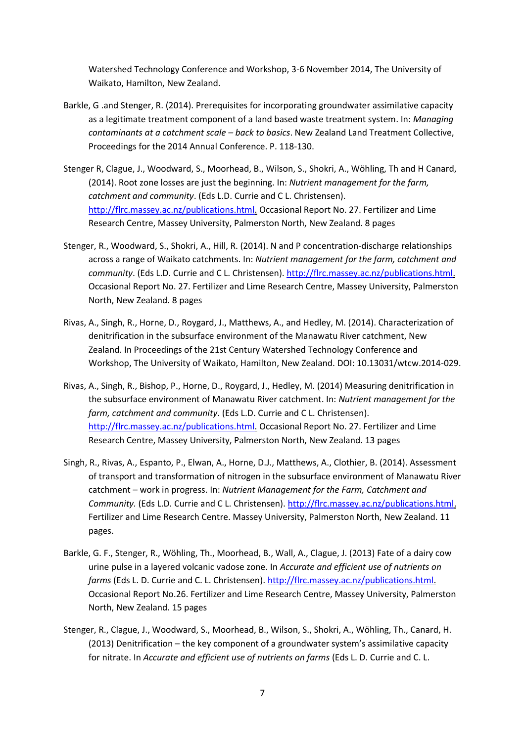Watershed Technology Conference and Workshop, 3-6 November 2014, The University of Waikato, Hamilton, New Zealand.

- Barkle, G .and Stenger, R. (2014). Prerequisites for incorporating groundwater assimilative capacity as a legitimate treatment component of a land based waste treatment system. In: *Managing contaminants at a catchment scale – back to basics*. New Zealand Land Treatment Collective, Proceedings for the 2014 Annual Conference. P. 118-130.
- Stenger R, Clague, J., Woodward, S., Moorhead, B., Wilson, S., Shokri, A., Wöhling, Th and H Canard, (2014). Root zone losses are just the beginning. In: *Nutrient management for the farm, catchment and community*. (Eds L.D. Currie and C L. Christensen). [http://flrc.massey.ac.nz/publications.html.](http://flrc.massey.ac.nz/publications.html) Occasional Report No. 27. Fertilizer and Lime Research Centre, Massey University, Palmerston North, New Zealand. 8 pages
- Stenger, R., Woodward, S., Shokri, A., Hill, R. (2014). N and P concentration-discharge relationships across a range of Waikato catchments. In: *Nutrient management for the farm, catchment and community*. (Eds L.D. Currie and C L. Christensen). [http://flrc.massey.ac.nz/publications.html.](http://flrc.massey.ac.nz/publications.html) Occasional Report No. 27. Fertilizer and Lime Research Centre, Massey University, Palmerston North, New Zealand. 8 pages
- Rivas, A., Singh, R., Horne, D., Roygard, J., Matthews, A., and Hedley, M. (2014). Characterization of denitrification in the subsurface environment of the Manawatu River catchment, New Zealand. In Proceedings of the 21st Century Watershed Technology Conference and Workshop, The University of Waikato, Hamilton, New Zealand. DOI: 10.13031/wtcw.2014-029.
- Rivas, A., Singh, R., Bishop, P., Horne, D., Roygard, J., Hedley, M. (2014) Measuring denitrification in the subsurface environment of Manawatu River catchment. In: *Nutrient management for the farm, catchment and community*. (Eds L.D. Currie and C L. Christensen). [http://flrc.massey.ac.nz/publications.html.](http://flrc.massey.ac.nz/publications.html) Occasional Report No. 27. Fertilizer and Lime Research Centre, Massey University, Palmerston North, New Zealand. 13 pages
- Singh, R., Rivas, A., Espanto, P., Elwan, A., Horne, D.J., Matthews, A., Clothier, B. (2014). Assessment of transport and transformation of nitrogen in the subsurface environment of Manawatu River catchment – work in progress. In: *Nutrient Management for the Farm, Catchment and Community.* (Eds L.D. Currie and C L. Christensen). [http://flrc.massey.ac.nz/publications.html.](http://flrc.massey.ac.nz/publications.html) Fertilizer and Lime Research Centre. Massey University, Palmerston North, New Zealand. 11 pages.
- Barkle, G. F., Stenger, R., Wöhling, Th., Moorhead, B., Wall, A., Clague, J. (2013) Fate of a dairy cow urine pulse in a layered volcanic vadose zone. In *Accurate and efficient use of nutrients on farms* (Eds L. D. Currie and C. L. Christensen). [http://flrc.massey.ac.nz/publications.html.](http://flrc.massey.ac.nz/publications.html) Occasional Report No.26. Fertilizer and Lime Research Centre, Massey University, Palmerston North, New Zealand. 15 pages
- Stenger, R., Clague, J., Woodward, S., Moorhead, B., Wilson, S., Shokri, A., Wöhling, Th., Canard, H. (2013) Denitrification – the key component of a groundwater system's assimilative capacity for nitrate. In *Accurate and efficient use of nutrients on farms* (Eds L. D. Currie and C. L.